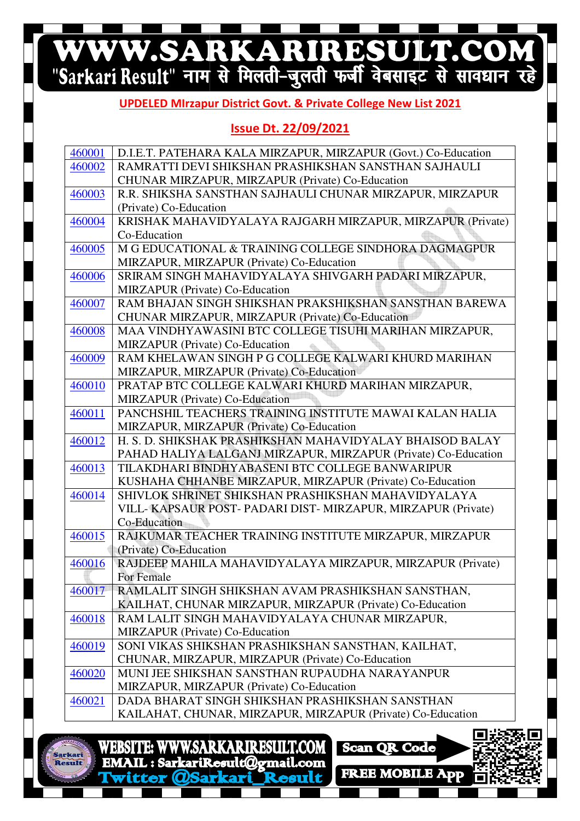# WWW.SARKARIRESULT.COM

#### **UPDELED MIrzapur District Govt. & Private College New List 2021**

### **Issue Dt. 22/09/2021**

| 460001 | D.I.E.T. PATEHARA KALA MIRZAPUR, MIRZAPUR (Govt.) Co-Education |
|--------|----------------------------------------------------------------|
| 460002 | RAMRATTI DEVI SHIKSHAN PRASHIKSHAN SANSTHAN SAJHAULI           |
|        | CHUNAR MIRZAPUR, MIRZAPUR (Private) Co-Education               |
| 460003 | R.R. SHIKSHA SANSTHAN SAJHAULI CHUNAR MIRZAPUR, MIRZAPUR       |
|        | (Private) Co-Education                                         |
| 460004 | KRISHAK MAHAVIDYALAYA RAJGARH MIRZAPUR, MIRZAPUR (Private)     |
|        | Co-Education                                                   |
| 460005 | M G EDUCATIONAL & TRAINING COLLEGE SINDHORA DAGMAGPUR          |
|        | MIRZAPUR, MIRZAPUR (Private) Co-Education                      |
| 460006 | SRIRAM SINGH MAHAVIDYALAYA SHIVGARH PADARI MIRZAPUR.           |
|        | <b>MIRZAPUR</b> (Private) Co-Education                         |
| 460007 | RAM BHAJAN SINGH SHIKSHAN PRAKSHIKSHAN SANSTHAN BAREWA         |
|        | CHUNAR MIRZAPUR, MIRZAPUR (Private) Co-Education               |
| 460008 | MAA VINDHYAWASINI BTC COLLEGE TISUHI MARIHAN MIRZAPUR,         |
|        | MIRZAPUR (Private) Co-Education                                |
| 460009 | RAM KHELAWAN SINGH P G COLLEGE KALWARI KHURD MARIHAN           |
|        | MIRZAPUR, MIRZAPUR (Private) Co-Education                      |
| 460010 | PRATAP BTC COLLEGE KALWARI KHURD MARIHAN MIRZAPUR,             |
|        | <b>MIRZAPUR</b> (Private) Co-Education                         |
| 460011 | PANCHSHIL TEACHERS TRAINING INSTITUTE MAWAI KALAN HALIA        |
|        | MIRZAPUR, MIRZAPUR (Private) Co-Education                      |
| 460012 | H. S. D. SHIKSHAK PRASHIKSHAN MAHAVIDYALAY BHAISOD BALAY       |
|        | PAHAD HALIYA LALGANJ MIRZAPUR, MIRZAPUR (Private) Co-Education |
| 460013 | TILAKDHARI BINDHYABASENI BTC COLLEGE BANWARIPUR                |
|        | KUSHAHA CHHANBE MIRZAPUR, MIRZAPUR (Private) Co-Education      |
| 460014 | SHIVLOK SHRINET SHIKSHAN PRASHIKSHAN MAHAVIDYALAYA             |
|        | VILL-KAPSAUR POST-PADARI DIST-MIRZAPUR, MIRZAPUR (Private)     |
|        | Co-Education                                                   |
| 460015 | RAJKUMAR TEACHER TRAINING INSTITUTE MIRZAPUR, MIRZAPUR         |
|        | (Private) Co-Education                                         |
| 460016 | RAJDEEP MAHILA MAHAVIDYALAYA MIRZAPUR, MIRZAPUR (Private)      |
|        | For Female                                                     |
| 460017 | RAMLALIT SINGH SHIKSHAN AVAM PRASHIKSHAN SANSTHAN,             |
|        | KAILHAT, CHUNAR MIRZAPUR, MIRZAPUR (Private) Co-Education      |
| 460018 | RAM LALIT SINGH MAHAVIDYALAYA CHUNAR MIRZAPUR,                 |
|        | MIRZAPUR (Private) Co-Education                                |
| 460019 | SONI VIKAS SHIKSHAN PRASHIKSHAN SANSTHAN, KAILHAT,             |
|        | CHUNAR, MIRZAPUR, MIRZAPUR (Private) Co-Education              |
| 460020 | MUNI JEE SHIKSHAN SANSTHAN RUPAUDHA NARAYANPUR                 |
|        | MIRZAPUR, MIRZAPUR (Private) Co-Education                      |
| 460021 | DADA BHARAT SINGH SHIKSHAN PRASHIKSHAN SANSTHAN                |
|        | KAILAHAT, CHUNAR, MIRZAPUR, MIRZAPUR (Private) Co-Education    |
|        |                                                                |
|        | WEBSITE: WWW.SARKARIRESULT.COM Scan QR Code                    |
| rkari  |                                                                |

**FREE MOBILE ADD**